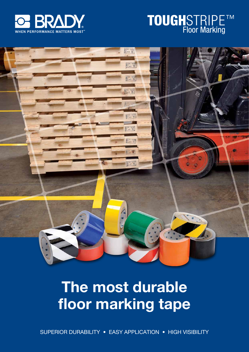





# The most durable floor marking tape

Superior DURABILITY • Easy APPLICATION • High VISIBILITY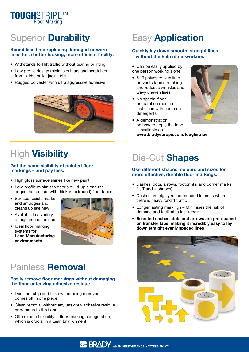

## **Superior Durability**

### Spend less time replacing damaged or worn lines for a better looking, more efficient facility.

- Withstands forklift traffic without tearing or lifting
- Low profile design minimises tears and scratches from skids, pallet jacks, etc.
- Rugged polyester with ultra aggressive adhesive



## **High Visibility**

### Get the same visibility of painted floor markings – and pay less.

- High gloss surface shines like new paint
- Low-profile minimises debris build-up along the edges that occurs with thicker (extruded) floor tapes
- Surface resists marks and smudges and cleans up like new
- Available in a variety of high impact colours
- Ideal floor marking systems for Lean Manufacturing environments



### Painless Removal

### Easily remove floor markings without damaging the floor or leaving adhesive residue.

- Does not chip and flake when being removed comes off in one piece
- Clean removal without any unsightly adhesive residue or damage to the floor
- Offers more flexibility in floor marking configuration, which is crucial in a Lean Environment.

## **Easy Application**

### Quickly lay down smooth, straight lines – without the help of co-workers.

- Can be easily applied by one person working alone
- Stiff polyester with liner prevents tape stretching and reduces wrinkles and wavy uneven lines
- No special floor preparation required – just clean with common detergents
- A demonstration on how to apply the tape is available on www.bradyeurope.com/toughstripe



## Die-Cut Shapes

### Use different shapes, colours and sizes for more effective, durable floor markings.

- Dashes, dots, arrows, footprints, and corner marks  $(L, T, and + shapes)$
- Dashes are highly recommended in areas where there is heavy forklift traffic
- Longer lasting markings Minimises the risk of damage and facilitates fast repair
- •Selected dashes, dots and arrows are pre-spaced on transfer tape, making it incredibly easy to lay down straight evenly spaced lines

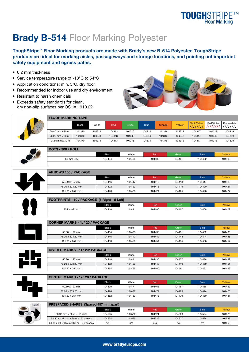## **TOUGHSTRIPETM**<br>Floor Marking

## **Brady B-514 Floor Marking Polyester**

ToughStripe™ Floor Marking products are made with Brady's new B-514 Polyester. ToughStripe products are ideal for marking aisles, passageways and storage locations, and pointing out important safety equipment and egress paths.

- 0.2 mm thickness
- Service temperature range of -18°C to 54°C
- Application conditions: min. 5°C, dry floor
- Recommended for indoor use and dry environment
- Resistant to harsh chemicals
- Exceeds safety standards for clean, dry non-slip surfaces per OSHA 1910.22





| FLVVN MANNING IAFE      |        |        |        |        |             |        |        |                                 |           |                                  |
|-------------------------|--------|--------|--------|--------|-------------|--------|--------|---------------------------------|-----------|----------------------------------|
|                         | Black  | White  | Red    | Green  | <b>Blue</b> | Orange | Yellow | <b>Black/Yellow</b><br>1111111. | Red/White | Black/White<br>//////// //////// |
| 50.80 mm x 30 m         | 104310 | 104311 | 104313 | 104315 | 104314      | 104316 | 104312 | 104317                          | 104318    | 104319                           |
| 76.20 mm x 30 m         | 104340 | 104341 | 104343 | 104345 | 104344      | 104346 | 104342 | 104347                          | 104348    | 104349                           |
| 101.60 mm $\times$ 30 m | 104370 | 104371 | 104373 | 104375 | 104374      | 104376 | 104372 | 104377                          | 104378    | 104379                           |
|                         |        |        |        |        |             |        |        |                                 |           |                                  |



| 101.60 mm $\times$ 30 m  | 104370 | 104371 | 104373       | 104375 | 104374 | 104376 | 104372<br>104377 | 104378      | 104379 |
|--------------------------|--------|--------|--------------|--------|--------|--------|------------------|-------------|--------|
|                          |        |        |              |        |        |        |                  |             |        |
| <b>DOTS - 300 / ROLL</b> |        |        |              |        |        |        |                  |             |        |
|                          |        |        | <b>Black</b> | White  | Red    | Green  |                  | <b>Blue</b> | Yellow |
| 89 mm DIA                |        |        | 104404       | 104405 | 104400 | 104401 |                  | 104402      | 104403 |



| <b>ARROWS 100 / PACKAGE</b> |              |        |        |        |             |        |
|-----------------------------|--------------|--------|--------|--------|-------------|--------|
|                             | <b>Black</b> | White  | Red    | Green  | <b>Blue</b> | Yellow |
| 50.80 x 127 mm              | 104416       | 104417 | 104412 | 104413 | 104414      | 104415 |
| 76.20 x 203.20 mm           | 104422       | 104423 | 104418 | 104419 | 104420      | 104421 |
| 101.60 x 254 mm             | 104428       | 104429 | 104424 | 104425 | 104426      | 104427 |

| FOOTPRINTS - 10 / PACKAGE (5 Right - 5 Left) |        |        |        |        |             |        |
|----------------------------------------------|--------|--------|--------|--------|-------------|--------|
|                                              | Black  | White  | Red    | Green  | <b>Blue</b> | Yellow |
| $254 \times 89$ mm                           | 104410 | 104411 | 104406 | 104407 | 104408      | 104409 |

| <b>CORNER MARKS - "L" 20 / PACKAGE</b> |              |        |        |        |             |        |  |
|----------------------------------------|--------------|--------|--------|--------|-------------|--------|--|
|                                        | <b>Black</b> | White  | Red    | Green  | <b>Blue</b> | Yellow |  |
| $50.80 \times 127$ mm                  | 104434       | 104435 | 104430 | 104431 | 104432      | 104433 |  |
| 76.20 x 203.20 mm                      | 104446       | 104447 | 104442 | 104443 | 104444      | 104445 |  |
| 101.60 x 254 mm                        | 104458       | 104459 | 104454 | 104455 | 104456      | 104457 |  |

| <b>DIVIDER MARKS - "T" 20/ PACKAGE</b> |              |        |        |        |             |        |
|----------------------------------------|--------------|--------|--------|--------|-------------|--------|
|                                        | <b>Black</b> | White  | Red    | Green  | <b>Blue</b> | Yellow |
| 50.80 x 127 mm                         | 104440       | 104441 | 104436 | 104437 | 104438      | 104439 |
| 76.20 x 203.20 mm                      | 104452       | 104453 | 104448 | 104449 | 104450      | 104451 |
| 101.60 x 254 mm                        | 104464       | 104465 | 104460 | 104461 | 104462      | 104463 |

Centre Marks - "+" 20 / package

| <b>PRESPACED SHAPES</b> (Spaced 457 mm apart) |              |        |        |        |             |        |
|-----------------------------------------------|--------------|--------|--------|--------|-------------|--------|
|                                               |              |        |        |        |             |        |
| 101.60 x 254 mm                               | 104482       | 104483 | 104478 | 104479 | 104480      | 104481 |
| 76.20 x 203.20 mm                             | 104476       | 104477 | 104472 | 104473 | 104474      | 104475 |
| 50.80 x 127 mm                                | 104470       | 104471 | 104466 | 104467 | 104468      | 104469 |
|                                               | <b>Black</b> | White  | Red    | Green  | <b>Blue</b> | Yellow |